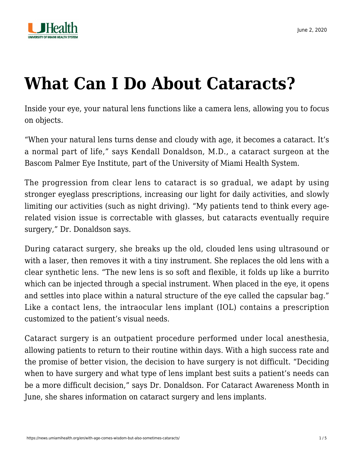

# **[What Can I Do About Cataracts?](https://news.umiamihealth.org/en/with-age-comes-wisdom-but-also-sometimes-cataracts/)**

Inside your eye, your natural lens functions like a camera lens, allowing you to focus on objects.

"When your natural lens turns dense and cloudy with age, it becomes a cataract. It's a normal part of life," says Kendall Donaldson, M.D., a cataract surgeon at the Bascom Palmer Eye Institute, part of the University of Miami Health System.

The progression from clear lens to cataract is so gradual, we adapt by using stronger eyeglass prescriptions, increasing our light for daily activities, and slowly limiting our activities (such as night driving). "My patients tend to think every agerelated vision issue is correctable with glasses, but cataracts eventually require surgery," Dr. Donaldson says.

During cataract surgery, she breaks up the old, clouded lens using ultrasound or with a laser, then removes it with a tiny instrument. She replaces the old lens with a clear synthetic lens. "The new lens is so soft and flexible, it folds up like a burrito which can be injected through a special instrument. When placed in the eye, it opens and settles into place within a natural structure of the eye called the capsular bag." Like a contact lens, the intraocular lens implant (IOL) contains a prescription customized to the patient's visual needs.

Cataract surgery is an outpatient procedure performed under local anesthesia, allowing patients to return to their routine within days. With a high success rate and the promise of better vision, the decision to have surgery is not difficult. "Deciding when to have surgery and what type of lens implant best suits a patient's needs can be a more difficult decision," says Dr. Donaldson. For Cataract Awareness Month in June, she shares information on [cataract surgery](https://bascompalmer-doctors.umiamihealth.org/provider/Kendall+E+Donaldson/526172?unified=donaldson&sort=relevance&tt=db7fa688-5f0d-4652-88c5-9069c2914d07&ut=34824c0e-5792-4ffc-afee-f4f7748a2def×tamp=2018-05-31T11%3A56%3A09.046Z) and lens implants.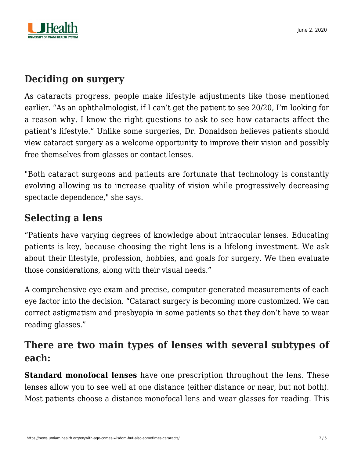

### **Deciding on surgery**

As cataracts progress, people make lifestyle adjustments like those mentioned earlier. "As an ophthalmologist, if I can't get the patient to see 20/20, I'm looking for a reason why. I know the right questions to ask to see how cataracts affect the patient's lifestyle." Unlike some surgeries, Dr. Donaldson believes patients should view cataract surgery as a welcome opportunity to improve their vision and possibly free themselves from glasses or contact lenses.

"Both cataract surgeons and patients are fortunate that technology is constantly evolving allowing us to increase quality of vision while progressively decreasing spectacle dependence," she says.

# **Selecting a lens**

"Patients have varying degrees of knowledge about intraocular lenses. Educating patients is key, because choosing the right lens is a lifelong investment. We ask about their lifestyle, profession, hobbies, and goals for surgery. We then evaluate those considerations, along with their visual needs."

A comprehensive eye exam and precise, computer-generated measurements of each eye factor into the decision. "Cataract surgery is becoming more customized. We can correct astigmatism and presbyopia in some patients so that they don't have to wear reading glasses."

## **There are two main types of lenses with several subtypes of each:**

**Standard monofocal lenses** have one prescription throughout the lens. These lenses allow you to see well at one distance (either distance or near, but not both). Most patients choose a distance monofocal lens and wear glasses for reading. This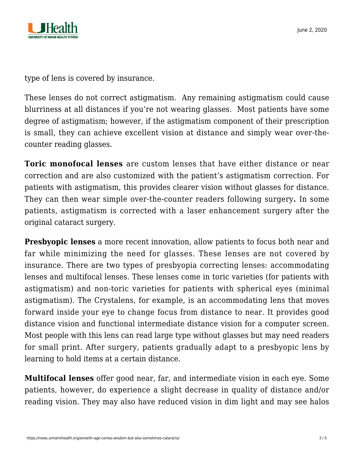

type of lens is covered by insurance.

These lenses do not correct astigmatism. Any remaining astigmatism could cause blurriness at all distances if you're not wearing glasses. Most patients have some degree of astigmatism; however, if the astigmatism component of their prescription is small, they can achieve excellent vision at distance and simply wear over-thecounter reading glasses.

**Toric monofocal lenses** are custom lenses that have either distance or near correction and are also customized with the patient's astigmatism correction. For patients with astigmatism, this provides clearer vision without glasses for distance. They can then wear simple over-the-counter readers following surgery**.** In some patients, astigmatism is corrected with a [laser enhancement surgery](https://news.umiamihealth.org/en/envisioning-the-possibilities-with-lasik/) after the original cataract surgery.

**Presbyopic lenses** a more recent innovation, allow patients to focus both near and far while minimizing the need for glasses. These lenses are not covered by insurance. There are two types of presbyopia correcting lenses: accommodating lenses and multifocal lenses. These lenses come in toric varieties (for patients with astigmatism) and non-toric varieties for patients with spherical eyes (minimal astigmatism). The Crystalens, for example, is an accommodating lens that moves forward inside your eye to change focus from distance to near. It provides good distance vision and functional intermediate distance vision for a computer screen. Most people with this lens can read large type without glasses but may need readers for small print. After surgery, patients gradually adapt to a presbyopic lens by learning to hold items at a certain distance.

**Multifocal lenses** offer good near, far, and intermediate vision in each eye. Some patients, however, do experience a slight decrease in quality of distance and/or reading vision. They may also have reduced vision in dim light and may see halos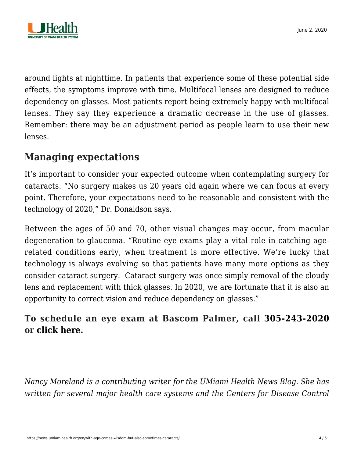

around lights at nighttime. In patients that experience some of these potential side effects, the symptoms improve with time. Multifocal lenses are designed to reduce dependency on glasses. Most patients report being extremely happy with multifocal lenses. They say they experience a dramatic decrease in the use of glasses. Remember: there may be an adjustment period as people learn to use their new lenses.

### **Managing expectations**

It's important to consider your expected outcome when contemplating surgery for cataracts. "No surgery makes us 20 years old again where we can focus at every point. Therefore, your expectations need to be reasonable and consistent with the technology of 2020," Dr. Donaldson says.

Between the ages of 50 and 70, other visual changes may occur, from macular degeneration to glaucoma. "Routine [eye exams](https://news.umiamihealth.org/en/quality-in-sight-how-to-choose-your-eye-care-provider/) play a vital role in catching agerelated conditions early, when treatment is more effective. We're lucky that technology is always evolving so that patients have many more options as they consider cataract surgery. Cataract surgery was once simply removal of the cloudy lens and replacement with thick glasses. In 2020, we are fortunate that it is also an opportunity to correct vision and reduce dependency on glasses."

#### **To schedule an eye exam at Bascom Palmer, call [305-243-2020](#page--1-0) or [click here](https://na01.safelinks.protection.outlook.com/?url=https%3A%2F%2Fumiamihealth.org%2Fbascom-palmer-eye-institute%2Fappointments&data=02%7C01%7Ckdonaldson%40med.miami.edu%7Cc41f639c5d464feb906d08d5c4bd23a0%7C2a144b72f23942d48c0e6f0f17c48e33%7C0%7C0%7C636631238998529484&sdata=%2FGj3%2Bdsx9v9QtfZyzEgsjX7IiDkjM2pxz17%2FF47uhuQ%3D&reserved=0).**

*Nancy Moreland is a contributing writer for the UMiami Health News Blog. She has written for several major health care systems and the Centers for Disease Control*